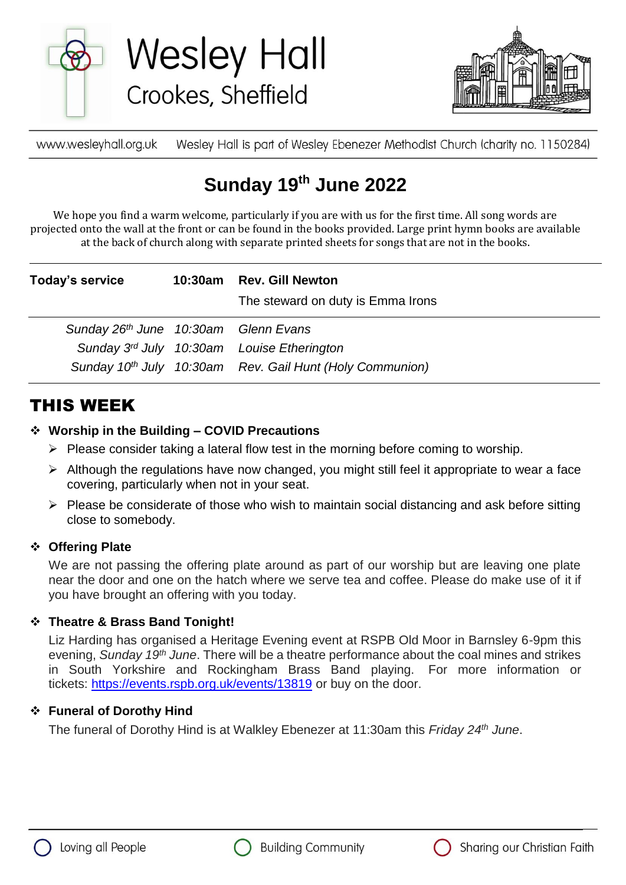

**Wesley Hall** Crookes, Sheffield



Wesley Hall is part of Wesley Ebenezer Methodist Church (charity no. 1150284) www.wesleyhall.org.uk

# **Sunday 19 th June 2022**

We hope you find a warm welcome, particularly if you are with us for the first time. All song words are projected onto the wall at the front or can be found in the books provided. Large print hymn books are available at the back of church along with separate printed sheets for songs that are not in the books.

| Today's service                      | 10:30am Rev. Gill Newton<br>The steward on duty is Emma Irons        |
|--------------------------------------|----------------------------------------------------------------------|
| Sunday 26th June 10:30am Glenn Evans |                                                                      |
|                                      | Sunday 3rd July 10:30am Louise Etherington                           |
|                                      | Sunday 10 <sup>th</sup> July 10:30am Rev. Gail Hunt (Holy Communion) |

### THIS WEEK

### **Worship in the Building – COVID Precautions**

- $\triangleright$  Please consider taking a lateral flow test in the morning before coming to worship.
- $\triangleright$  Although the regulations have now changed, you might still feel it appropriate to wear a face covering, particularly when not in your seat.
- $\triangleright$  Please be considerate of those who wish to maintain social distancing and ask before sitting close to somebody.

### **Offering Plate**

We are not passing the offering plate around as part of our worship but are leaving one plate near the door and one on the hatch where we serve tea and coffee. Please do make use of it if you have brought an offering with you today.

### **Theatre & Brass Band Tonight!**

Liz Harding has organised a Heritage Evening event at RSPB Old Moor in Barnsley 6-9pm this evening, *Sunday 19th June*. There will be a theatre performance about the coal mines and strikes in South Yorkshire and Rockingham Brass Band playing. For more information or tickets: <https://events.rspb.org.uk/events/13819> or buy on the door.

### **Funeral of Dorothy Hind**

The funeral of Dorothy Hind is at Walkley Ebenezer at 11:30am this *Friday 24th June*.





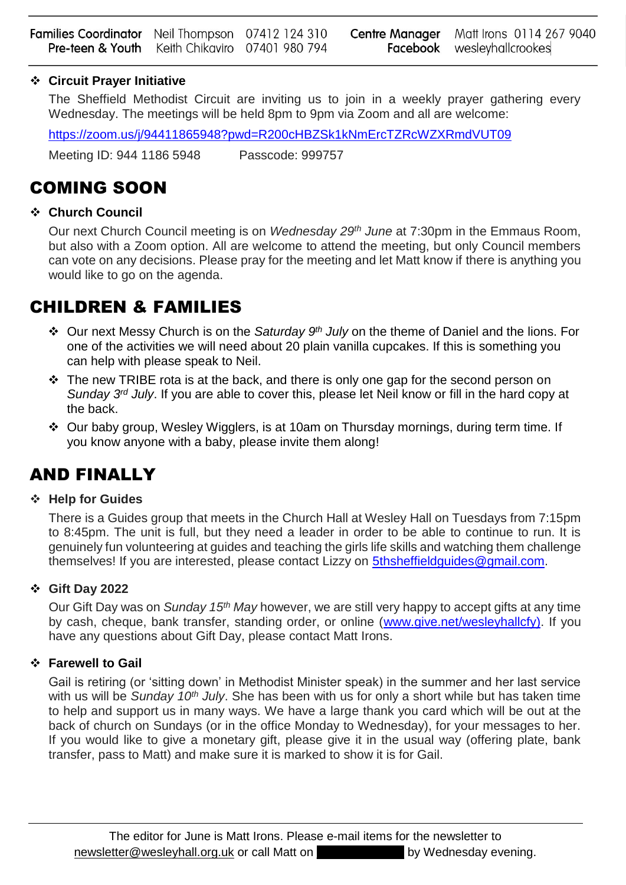### **Circuit Prayer Initiative**

The Sheffield Methodist Circuit are inviting us to join in a weekly prayer gathering every Wednesday. The meetings will be held 8pm to 9pm via Zoom and all are welcome:

<https://zoom.us/j/94411865948?pwd=R200cHBZSk1kNmErcTZRcWZXRmdVUT09>

Meeting ID: 944 1186 5948 Passcode: 999757

### COMING SOON

### **Church Council**

Our next Church Council meeting is on *Wednesday 29th June* at 7:30pm in the Emmaus Room, but also with a Zoom option. All are welcome to attend the meeting, but only Council members can vote on any decisions. Please pray for the meeting and let Matt know if there is anything you would like to go on the agenda.

### CHILDREN & FAMILIES

- Our next Messy Church is on the *Saturday 9th July* on the theme of Daniel and the lions. For one of the activities we will need about 20 plain vanilla cupcakes. If this is something you can help with please speak to Neil.
- $\cdot \cdot$  The new TRIBE rota is at the back, and there is only one gap for the second person on *Sunday 3rd July*. If you are able to cover this, please let Neil know or fill in the hard copy at the back.
- Our baby group, Wesley Wigglers, is at 10am on Thursday mornings, during term time. If you know anyone with a baby, please invite them along!

## AND FINALLY

### **Help for Guides**

There is a Guides group that meets in the Church Hall at Wesley Hall on Tuesdays from 7:15pm to 8:45pm. The unit is full, but they need a leader in order to be able to continue to run. It is genuinely fun volunteering at guides and teaching the girls life skills and watching them challenge themselves! If you are interested, please contact Lizzy on 5thsheffieldquides@gmail.com.

### **Gift Day 2022**

Our Gift Day was on *Sunday 15th May* however, we are still very happy to accept gifts at any time by cash, cheque, bank transfer, standing order, or online [\(www.give.net/wesleyhallcfy\)](about:blank). If you have any questions about Gift Day, please contact Matt Irons.

### **Farewell to Gail**

Gail is retiring (or 'sitting down' in Methodist Minister speak) in the summer and her last service with us will be *Sunday 10th July*. She has been with us for only a short while but has taken time to help and support us in many ways. We have a large thank you card which will be out at the back of church on Sundays (or in the office Monday to Wednesday), for your messages to her. If you would like to give a monetary gift, please give it in the usual way (offering plate, bank transfer, pass to Matt) and make sure it is marked to show it is for Gail.